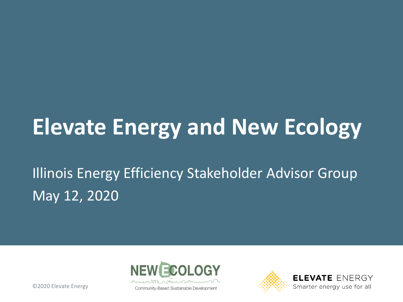# **Elevate Energy and New Ecology**

# Illinois Energy Efficiency Stakeholder Advisor Group May 12, 2020



Community-Based Sustainable Development





©2020 Elevate Energy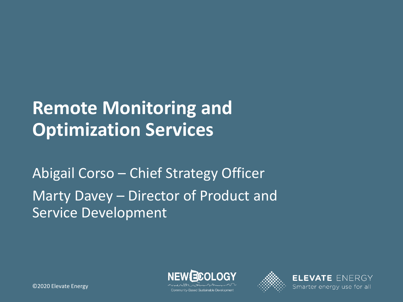# **Remote Monitoring and Optimization Services**

Abigail Corso – Chief Strategy Officer Marty Davey – Director of Product and Service Development





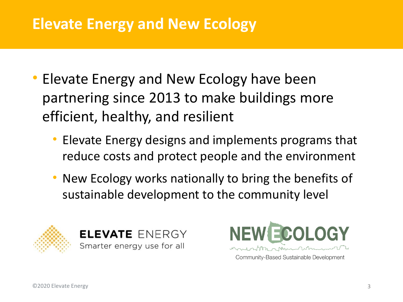### **Elevate Energy and New Ecology**

- Elevate Energy and New Ecology have been partnering since 2013 to make buildings more efficient, healthy, and resilient
	- Elevate Energy designs and implements programs that reduce costs and protect people and the environment
	- New Ecology works nationally to bring the benefits of sustainable development to the community level





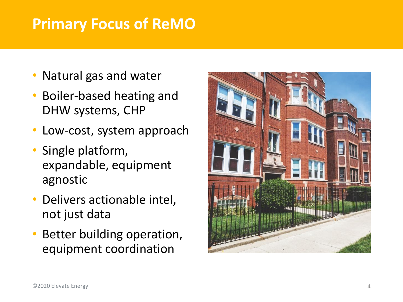## **Primary Focus of ReMO**

- Natural gas and water
- Boiler-based heating and DHW systems, CHP
- Low -cost, system approach
- Single platform, expandable, equipment agnostic
- Delivers actionable intel, not just data
- Better building operation, equipment coordination

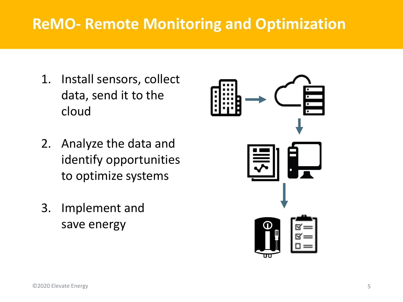# **ReMO- Remote Monitoring and Optimization**

- 1. Install sensors, collect data, send it to the cloud
- 2. Analyze the data and identify opportunities to optimize systems
- 3. Implement and save energy

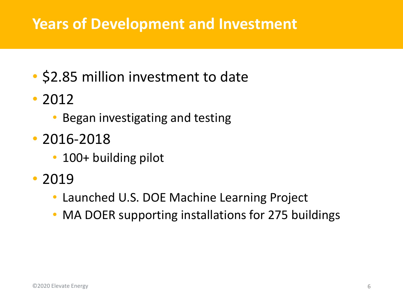## **Years of Development and Investment**

- \$2.85 million investment to date
- 2012
	- Began investigating and testing
- 2016-2018
	- 100+ building pilot
- 2019
	- Launched U.S. DOE Machine Learning Project
	- MA DOER supporting installations for 275 buildings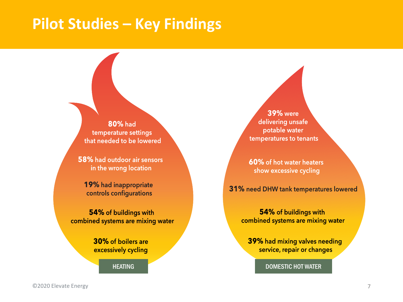#### **Pilot Studies – Key Findings**

**80% had** temperature settings that needed to be lowered

58% had outdoor air sensors in the wrong location

**19%** had inappropriate controls configurations

54% of buildings with combined systems are mixing water

> **30% of boilers are** excessively cycling

**39% were** delivering unsafe potable water temperatures to tenants

60% of hot water heaters show excessive cycling

31% need DHW tank temperatures lowered

54% of buildings with combined systems are mixing water

**39%** had mixing valves needing service, repair or changes

HEATING **DOMESTIC HOT WATER**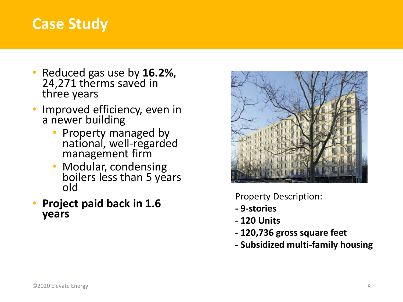#### **Case Study**

- Reduced gas use by **16.2%**, 24,271 therms saved in three years
- Improved efficiency, even in a newer building
	- Property managed by national, well-regarded management firm
	- Modular, condensing boilers less than 5 years old
- **Project paid back in 1.6 years**



Property Description:

- **- 9-stories**
- **- 120 Units**
- **- 120,736 gross square feet**
- **- Subsidized multi-family housing**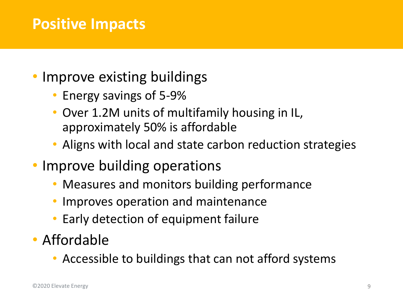#### **Positive Impacts**

#### • Improve existing buildings

- Energy savings of 5-9%
- Over 1.2M units of multifamily housing in IL, approximately 50% is affordable
- Aligns with local and state carbon reduction strategies
- Improve building operations
	- Measures and monitors building performance
	- Improves operation and maintenance
	- Early detection of equipment failure
- Affordable
	- Accessible to buildings that can not afford systems